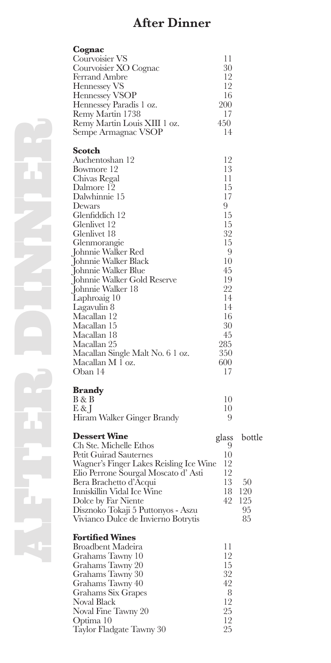# **After Dinner**

| Cognac                                           |          |        |
|--------------------------------------------------|----------|--------|
| Courvoisier VS                                   | 11       |        |
| Courvoisier XO Cognac                            | 30<br>12 |        |
| Ferrand Ambre<br>Hennessey VS                    | 12       |        |
| Hennessey VSOP                                   | 16       |        |
| Hennessey Paradis 1 oz.                          | 200      |        |
| Remy Martin 1738                                 | 17       |        |
| Remy Martin Louis XIII 1 oz.                     | 450      |        |
| Sempe Armagnac VSOP                              | 14       |        |
| Scotch                                           |          |        |
| Auchentoshan 12                                  | 12       |        |
| Bowmore 12                                       | 13       |        |
| Chivas Regal                                     | 11       |        |
| Dalmore 12<br>Dalwhinnie 15                      | 15<br>17 |        |
| Dewars                                           | 9        |        |
| Glenfiddich 12                                   | 15       |        |
| Glenlivet 12                                     | 15       |        |
| Glenlivet 18                                     | 32       |        |
| Glenmorangie                                     | 15       |        |
| Johnnie Walker Red                               | 9        |        |
| Johnnie Walker Black                             | 10       |        |
| Johnnie Walker Blue                              | 45       |        |
| Johnnie Walker Gold Reserve                      | 19       |        |
| Johnnie Walker 18<br>Laphroaig 10                | 22<br>14 |        |
| Lagavulin 8                                      | 14       |        |
| Macallan 12                                      | 16       |        |
| Macallan 15                                      | 30       |        |
| Macallan 18                                      | 45       |        |
| Macallan 25                                      | 285      |        |
| Macallan Single Malt No. 6 1 oz.                 | 350      |        |
| Macallan M 1 oz.                                 | 600      |        |
| Oban 14                                          | 17       |        |
| <b>Brandy</b>                                    |          |        |
| B & B                                            | 10       |        |
| E & J                                            | 10       |        |
| Hiram Walker Ginger Brandy                       | 9        |        |
| <b>Dessert Wine</b>                              | glass    | bottle |
| Ch Ste. Michelle Ethos<br>Petit Guirad Sauternes | 9<br>10  |        |
| Wagner's Finger Lakes Reisling Ice Wine          | 12       |        |
| Elio Perrone Sourgal Moscato d'Asti              | 12       |        |
| Bera Brachetto d'Acqui                           | 13       | 50     |
| Inniskillin Vidal Ice Wine                       | 18       | 120    |
| Dolce by Far Niente                              | 42       | 125    |
| Disznoko Tokaji 5 Puttonyos - Aszu               |          | 95     |
| Vivianco Dulce de Invierno Botrytis              |          | 85     |
| <b>Fortified Wines</b>                           |          |        |
| Broadbent Madeira                                | 11       |        |
| Grahams Tawny 10                                 | 12       |        |
| Grahams Tawny 20                                 | 15       |        |
| Grahams Tawny 30                                 | 32<br>42 |        |
| Grahams Tawny 40<br>Grahams Six Grapes           | 8        |        |
| Noval Black                                      | 12       |        |
| Noval Fine Tawny 20                              | 25       |        |
| Optima 10                                        | 12       |        |

Taylor Fladgate Tawny 30 25